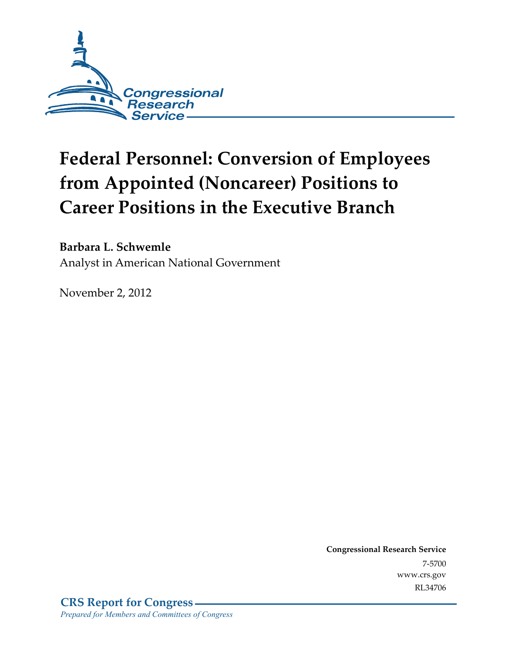

# **Federal Personnel: Conversion of Employees from Appointed (Noncareer) Positions to Career Positions in the Executive Branch**

**Barbara L. Schwemle** 

Analyst in American National Government

November 2, 2012

**Congressional Research Service**  7-5700 www.crs.gov RL34706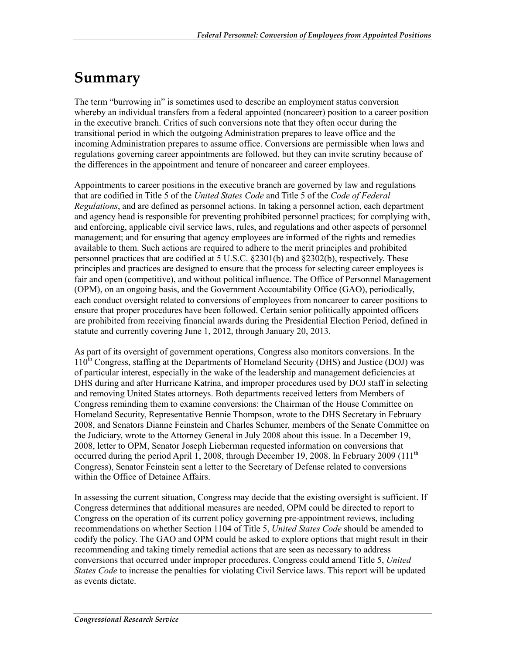## **Summary**

The term "burrowing in" is sometimes used to describe an employment status conversion whereby an individual transfers from a federal appointed (noncareer) position to a career position in the executive branch. Critics of such conversions note that they often occur during the transitional period in which the outgoing Administration prepares to leave office and the incoming Administration prepares to assume office. Conversions are permissible when laws and regulations governing career appointments are followed, but they can invite scrutiny because of the differences in the appointment and tenure of noncareer and career employees.

Appointments to career positions in the executive branch are governed by law and regulations that are codified in Title 5 of the *United States Code* and Title 5 of the *Code of Federal Regulations*, and are defined as personnel actions. In taking a personnel action, each department and agency head is responsible for preventing prohibited personnel practices; for complying with, and enforcing, applicable civil service laws, rules, and regulations and other aspects of personnel management; and for ensuring that agency employees are informed of the rights and remedies available to them. Such actions are required to adhere to the merit principles and prohibited personnel practices that are codified at 5 U.S.C. §2301(b) and §2302(b), respectively. These principles and practices are designed to ensure that the process for selecting career employees is fair and open (competitive), and without political influence. The Office of Personnel Management (OPM), on an ongoing basis, and the Government Accountability Office (GAO), periodically, each conduct oversight related to conversions of employees from noncareer to career positions to ensure that proper procedures have been followed. Certain senior politically appointed officers are prohibited from receiving financial awards during the Presidential Election Period, defined in statute and currently covering June 1, 2012, through January 20, 2013.

As part of its oversight of government operations, Congress also monitors conversions. In the  $110<sup>th</sup>$  Congress, staffing at the Departments of Homeland Security (DHS) and Justice (DOJ) was of particular interest, especially in the wake of the leadership and management deficiencies at DHS during and after Hurricane Katrina, and improper procedures used by DOJ staff in selecting and removing United States attorneys. Both departments received letters from Members of Congress reminding them to examine conversions: the Chairman of the House Committee on Homeland Security, Representative Bennie Thompson, wrote to the DHS Secretary in February 2008, and Senators Dianne Feinstein and Charles Schumer, members of the Senate Committee on the Judiciary, wrote to the Attorney General in July 2008 about this issue. In a December 19, 2008, letter to OPM, Senator Joseph Lieberman requested information on conversions that occurred during the period April 1, 2008, through December 19, 2008. In February 2009 (111<sup>th</sup>) Congress), Senator Feinstein sent a letter to the Secretary of Defense related to conversions within the Office of Detainee Affairs.

In assessing the current situation, Congress may decide that the existing oversight is sufficient. If Congress determines that additional measures are needed, OPM could be directed to report to Congress on the operation of its current policy governing pre-appointment reviews, including recommendations on whether Section 1104 of Title 5, *United States Code* should be amended to codify the policy. The GAO and OPM could be asked to explore options that might result in their recommending and taking timely remedial actions that are seen as necessary to address conversions that occurred under improper procedures. Congress could amend Title 5, *United States Code* to increase the penalties for violating Civil Service laws. This report will be updated as events dictate.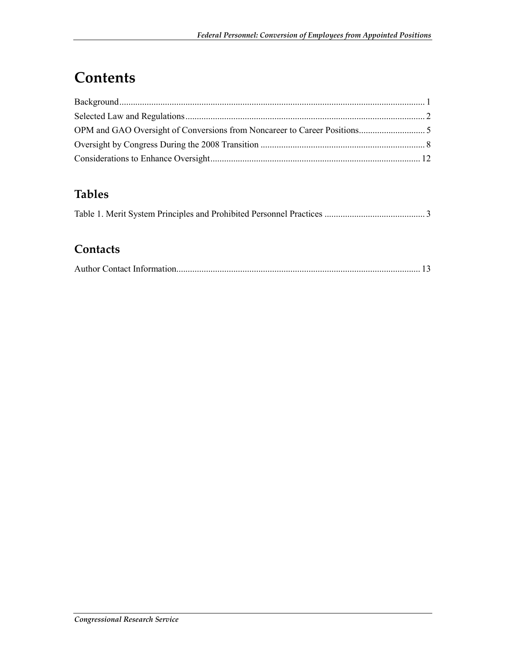## **Contents**

| ${\bf Background.}.\hspace*{2em} \label{q:3} \vspace*{1}$ |
|-----------------------------------------------------------|
|                                                           |
|                                                           |
|                                                           |
|                                                           |
|                                                           |

#### **Tables**

|--|--|

#### **Contacts**

|--|--|--|--|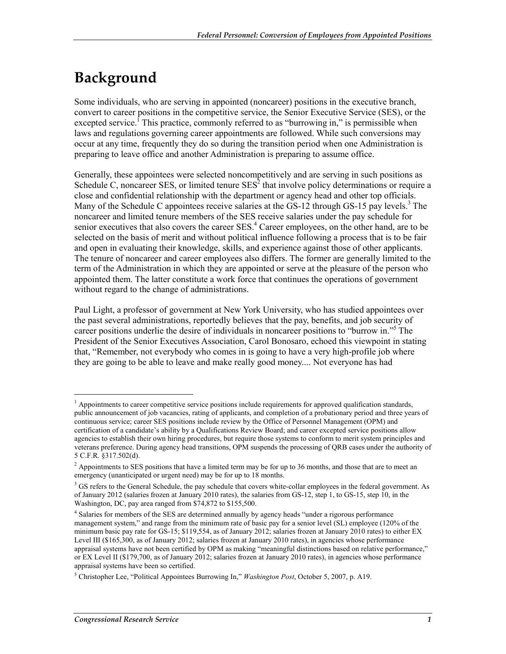## **Background**

Some individuals, who are serving in appointed (noncareer) positions in the executive branch, convert to career positions in the competitive service, the Senior Executive Service (SES), or the excepted service.<sup>1</sup> This practice, commonly referred to as "burrowing in," is permissible when laws and regulations governing career appointments are followed. While such conversions may occur at any time, frequently they do so during the transition period when one Administration is preparing to leave office and another Administration is preparing to assume office.

Generally, these appointees were selected noncompetitively and are serving in such positions as Schedule C, noncareer SES, or limited tenure  $SES<sup>2</sup>$  that involve policy determinations or require a close and confidential relationship with the department or agency head and other top officials. Many of the Schedule C appointees receive salaries at the  $GS-12$  through  $GS-15$  pay levels.<sup>3</sup> The noncareer and limited tenure members of the SES receive salaries under the pay schedule for senior executives that also covers the career SES.<sup>4</sup> Career employees, on the other hand, are to be selected on the basis of merit and without political influence following a process that is to be fair and open in evaluating their knowledge, skills, and experience against those of other applicants. The tenure of noncareer and career employees also differs. The former are generally limited to the term of the Administration in which they are appointed or serve at the pleasure of the person who appointed them. The latter constitute a work force that continues the operations of government without regard to the change of administrations.

Paul Light, a professor of government at New York University, who has studied appointees over the past several administrations, reportedly believes that the pay, benefits, and job security of career positions underlie the desire of individuals in noncareer positions to "burrow in."5 The President of the Senior Executives Association, Carol Bonosaro, echoed this viewpoint in stating that, "Remember, not everybody who comes in is going to have a very high-profile job where they are going to be able to leave and make really good money.... Not everyone has had

<sup>&</sup>lt;sup>1</sup> Appointments to career competitive service positions include requirements for approved qualification standards, public announcement of job vacancies, rating of applicants, and completion of a probationary period and three years of continuous service; career SES positions include review by the Office of Personnel Management (OPM) and certification of a candidate's ability by a Qualifications Review Board; and career excepted service positions allow agencies to establish their own hiring procedures, but require those systems to conform to merit system principles and veterans preference. During agency head transitions, OPM suspends the processing of QRB cases under the authority of 5 C.F.R. §317.502(d).

 $<sup>2</sup>$  Appointments to SES positions that have a limited term may be for up to 36 months, and those that are to meet an</sup> emergency (unanticipated or urgent need) may be for up to 18 months.

<sup>&</sup>lt;sup>3</sup> GS refers to the General Schedule, the pay schedule that covers white-collar employees in the federal government. As of January 2012 (salaries frozen at January 2010 rates), the salaries from GS-12, step 1, to GS-15, step 10, in the Washington, DC, pay area ranged from \$74,872 to \$155,500.

<sup>&</sup>lt;sup>4</sup> Salaries for members of the SES are determined annually by agency heads "under a rigorous performance management system," and range from the minimum rate of basic pay for a senior level (SL) employee (120% of the minimum basic pay rate for GS-15; \$119,554, as of January 2012; salaries frozen at January 2010 rates) to either EX Level III (\$165,300, as of January 2012; salaries frozen at January 2010 rates), in agencies whose performance appraisal systems have not been certified by OPM as making "meaningful distinctions based on relative performance," or EX Level II (\$179,700, as of January 2012; salaries frozen at January 2010 rates), in agencies whose performance appraisal systems have been so certified.

<sup>5</sup> Christopher Lee, "Political Appointees Burrowing In," *Washington Post*, October 5, 2007, p. A19.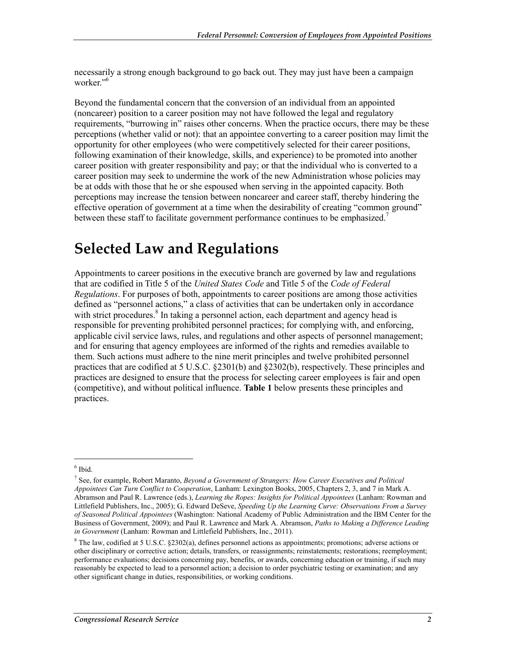necessarily a strong enough background to go back out. They may just have been a campaign worker."<sup>6</sup>

Beyond the fundamental concern that the conversion of an individual from an appointed (noncareer) position to a career position may not have followed the legal and regulatory requirements, "burrowing in" raises other concerns. When the practice occurs, there may be these perceptions (whether valid or not): that an appointee converting to a career position may limit the opportunity for other employees (who were competitively selected for their career positions, following examination of their knowledge, skills, and experience) to be promoted into another career position with greater responsibility and pay; or that the individual who is converted to a career position may seek to undermine the work of the new Administration whose policies may be at odds with those that he or she espoused when serving in the appointed capacity. Both perceptions may increase the tension between noncareer and career staff, thereby hindering the effective operation of government at a time when the desirability of creating "common ground" between these staff to facilitate government performance continues to be emphasized.<sup>7</sup>

#### **Selected Law and Regulations**

Appointments to career positions in the executive branch are governed by law and regulations that are codified in Title 5 of the *United States Code* and Title 5 of the *Code of Federal Regulations*. For purposes of both, appointments to career positions are among those activities defined as "personnel actions," a class of activities that can be undertaken only in accordance with strict procedures.<sup>8</sup> In taking a personnel action, each department and agency head is responsible for preventing prohibited personnel practices; for complying with, and enforcing, applicable civil service laws, rules, and regulations and other aspects of personnel management; and for ensuring that agency employees are informed of the rights and remedies available to them. Such actions must adhere to the nine merit principles and twelve prohibited personnel practices that are codified at 5 U.S.C. §2301(b) and §2302(b), respectively. These principles and practices are designed to ensure that the process for selecting career employees is fair and open (competitive), and without political influence. **Table 1** below presents these principles and practices.

<sup>6</sup> Ibid.

<sup>7</sup> See, for example, Robert Maranto, *Beyond a Government of Strangers: How Career Executives and Political Appointees Can Turn Conflict to Cooperation*, Lanham: Lexington Books, 2005, Chapters 2, 3, and 7 in Mark A. Abramson and Paul R. Lawrence (eds.), *Learning the Ropes: Insights for Political Appointees* (Lanham: Rowman and Littlefield Publishers, Inc., 2005); G. Edward DeSeve, *Speeding Up the Learning Curve: Observations From a Survey of Seasoned Political Appointees* (Washington: National Academy of Public Administration and the IBM Center for the Business of Government, 2009); and Paul R. Lawrence and Mark A. Abramson, *Paths to Making a Difference Leading in Government* (Lanham: Rowman and Littlefield Publishers, Inc., 2011).

<sup>&</sup>lt;sup>8</sup> The law, codified at 5 U.S.C. §2302(a), defines personnel actions as appointments; promotions; adverse actions or other disciplinary or corrective action; details, transfers, or reassignments; reinstatements; restorations; reemployment; performance evaluations; decisions concerning pay, benefits, or awards, concerning education or training, if such may reasonably be expected to lead to a personnel action; a decision to order psychiatric testing or examination; and any other significant change in duties, responsibilities, or working conditions.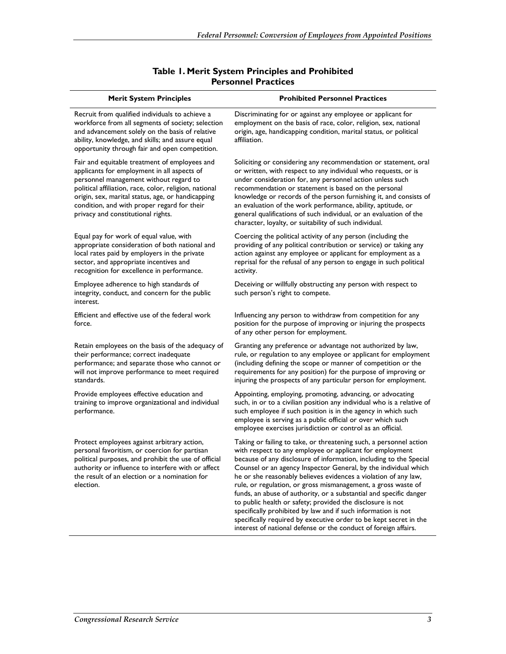| <b>Merit System Principles</b>                                                                                                                                                                                                                                                                                                             | <b>Prohibited Personnel Practices</b>                                                                                                                                                                                                                                                                                                                                                                                                                                                                                                                                                                                                                                                                                                                    |
|--------------------------------------------------------------------------------------------------------------------------------------------------------------------------------------------------------------------------------------------------------------------------------------------------------------------------------------------|----------------------------------------------------------------------------------------------------------------------------------------------------------------------------------------------------------------------------------------------------------------------------------------------------------------------------------------------------------------------------------------------------------------------------------------------------------------------------------------------------------------------------------------------------------------------------------------------------------------------------------------------------------------------------------------------------------------------------------------------------------|
| Recruit from qualified individuals to achieve a<br>workforce from all segments of society; selection<br>and advancement solely on the basis of relative<br>ability, knowledge, and skills; and assure equal<br>opportunity through fair and open competition.                                                                              | Discriminating for or against any employee or applicant for<br>employment on the basis of race, color, religion, sex, national<br>origin, age, handicapping condition, marital status, or political<br>affiliation.                                                                                                                                                                                                                                                                                                                                                                                                                                                                                                                                      |
| Fair and equitable treatment of employees and<br>applicants for employment in all aspects of<br>personnel management without regard to<br>political affiliation, race, color, religion, national<br>origin, sex, marital status, age, or handicapping<br>condition, and with proper regard for their<br>privacy and constitutional rights. | Soliciting or considering any recommendation or statement, oral<br>or written, with respect to any individual who requests, or is<br>under consideration for, any personnel action unless such<br>recommendation or statement is based on the personal<br>knowledge or records of the person furnishing it, and consists of<br>an evaluation of the work performance, ability, aptitude, or<br>general qualifications of such individual, or an evaluation of the<br>character, loyalty, or suitability of such individual.                                                                                                                                                                                                                              |
| Equal pay for work of equal value, with<br>appropriate consideration of both national and<br>local rates paid by employers in the private<br>sector, and appropriate incentives and<br>recognition for excellence in performance.                                                                                                          | Coercing the political activity of any person (including the<br>providing of any political contribution or service) or taking any<br>action against any employee or applicant for employment as a<br>reprisal for the refusal of any person to engage in such political<br>activity.                                                                                                                                                                                                                                                                                                                                                                                                                                                                     |
| Employee adherence to high standards of<br>integrity, conduct, and concern for the public<br>interest.                                                                                                                                                                                                                                     | Deceiving or willfully obstructing any person with respect to<br>such person's right to compete.                                                                                                                                                                                                                                                                                                                                                                                                                                                                                                                                                                                                                                                         |
| Efficient and effective use of the federal work<br>force.                                                                                                                                                                                                                                                                                  | Influencing any person to withdraw from competition for any<br>position for the purpose of improving or injuring the prospects<br>of any other person for employment.                                                                                                                                                                                                                                                                                                                                                                                                                                                                                                                                                                                    |
| Retain employees on the basis of the adequacy of<br>their performance; correct inadequate<br>performance; and separate those who cannot or<br>will not improve performance to meet required<br>standards.                                                                                                                                  | Granting any preference or advantage not authorized by law,<br>rule, or regulation to any employee or applicant for employment<br>(including defining the scope or manner of competition or the<br>requirements for any position) for the purpose of improving or<br>injuring the prospects of any particular person for employment.                                                                                                                                                                                                                                                                                                                                                                                                                     |
| Provide employees effective education and<br>training to improve organizational and individual<br>performance.                                                                                                                                                                                                                             | Appointing, employing, promoting, advancing, or advocating<br>such, in or to a civilian position any individual who is a relative of<br>such employee if such position is in the agency in which such<br>employee is serving as a public official or over which such<br>employee exercises jurisdiction or control as an official.                                                                                                                                                                                                                                                                                                                                                                                                                       |
| Protect employees against arbitrary action,<br>personal favoritism, or coercion for partisan<br>political purposes, and prohibit the use of official<br>authority or influence to interfere with or affect<br>the result of an election or a nomination for<br>election.                                                                   | Taking or failing to take, or threatening such, a personnel action<br>with respect to any employee or applicant for employment<br>because of any disclosure of information, including to the Special<br>Counsel or an agency Inspector General, by the individual which<br>he or she reasonably believes evidences a violation of any law,<br>rule, or regulation, or gross mismanagement, a gross waste of<br>funds, an abuse of authority, or a substantial and specific danger<br>to public health or safety; provided the disclosure is not<br>specifically prohibited by law and if such information is not<br>specifically required by executive order to be kept secret in the<br>interest of national defense or the conduct of foreign affairs. |
|                                                                                                                                                                                                                                                                                                                                            |                                                                                                                                                                                                                                                                                                                                                                                                                                                                                                                                                                                                                                                                                                                                                          |

#### **Table 1. Merit System Principles and Prohibited Personnel Practices**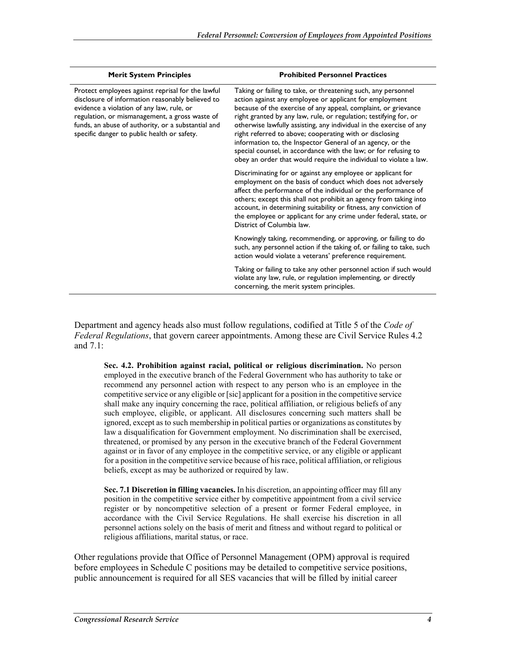| <b>Merit System Principles</b>                                                                                                                                                                                                                                                                            | <b>Prohibited Personnel Practices</b>                                                                                                                                                                                                                                                                                                                                                                                                                                                                                                                                                                   |
|-----------------------------------------------------------------------------------------------------------------------------------------------------------------------------------------------------------------------------------------------------------------------------------------------------------|---------------------------------------------------------------------------------------------------------------------------------------------------------------------------------------------------------------------------------------------------------------------------------------------------------------------------------------------------------------------------------------------------------------------------------------------------------------------------------------------------------------------------------------------------------------------------------------------------------|
| Protect employees against reprisal for the lawful<br>disclosure of information reasonably believed to<br>evidence a violation of any law, rule, or<br>regulation, or mismanagement, a gross waste of<br>funds, an abuse of authority, or a substantial and<br>specific danger to public health or safety. | Taking or failing to take, or threatening such, any personnel<br>action against any employee or applicant for employment<br>because of the exercise of any appeal, complaint, or grievance<br>right granted by any law, rule, or regulation; testifying for, or<br>otherwise lawfully assisting, any individual in the exercise of any<br>right referred to above; cooperating with or disclosing<br>information to, the Inspector General of an agency, or the<br>special counsel, in accordance with the law; or for refusing to<br>obey an order that would require the individual to violate a law. |
|                                                                                                                                                                                                                                                                                                           | Discriminating for or against any employee or applicant for<br>employment on the basis of conduct which does not adversely<br>affect the performance of the individual or the performance of<br>others; except this shall not prohibit an agency from taking into<br>account, in determining suitability or fitness, any conviction of<br>the employee or applicant for any crime under federal, state, or<br>District of Columbia law.                                                                                                                                                                 |
|                                                                                                                                                                                                                                                                                                           | Knowingly taking, recommending, or approving, or failing to do<br>such, any personnel action if the taking of, or failing to take, such<br>action would violate a veterans' preference requirement.                                                                                                                                                                                                                                                                                                                                                                                                     |
|                                                                                                                                                                                                                                                                                                           | Taking or failing to take any other personnel action if such would<br>violate any law, rule, or regulation implementing, or directly<br>concerning, the merit system principles.                                                                                                                                                                                                                                                                                                                                                                                                                        |

Department and agency heads also must follow regulations, codified at Title 5 of the *Code of Federal Regulations*, that govern career appointments. Among these are Civil Service Rules 4.2 and 7.1:

**Sec. 4.2. Prohibition against racial, political or religious discrimination.** No person employed in the executive branch of the Federal Government who has authority to take or recommend any personnel action with respect to any person who is an employee in the competitive service or any eligible or [sic] applicant for a position in the competitive service shall make any inquiry concerning the race, political affiliation, or religious beliefs of any such employee, eligible, or applicant. All disclosures concerning such matters shall be ignored, except as to such membership in political parties or organizations as constitutes by law a disqualification for Government employment. No discrimination shall be exercised, threatened, or promised by any person in the executive branch of the Federal Government against or in favor of any employee in the competitive service, or any eligible or applicant for a position in the competitive service because of his race, political affiliation, or religious beliefs, except as may be authorized or required by law.

**Sec. 7.1 Discretion in filling vacancies.** In his discretion, an appointing officer may fill any position in the competitive service either by competitive appointment from a civil service register or by noncompetitive selection of a present or former Federal employee, in accordance with the Civil Service Regulations. He shall exercise his discretion in all personnel actions solely on the basis of merit and fitness and without regard to political or religious affiliations, marital status, or race.

Other regulations provide that Office of Personnel Management (OPM) approval is required before employees in Schedule C positions may be detailed to competitive service positions, public announcement is required for all SES vacancies that will be filled by initial career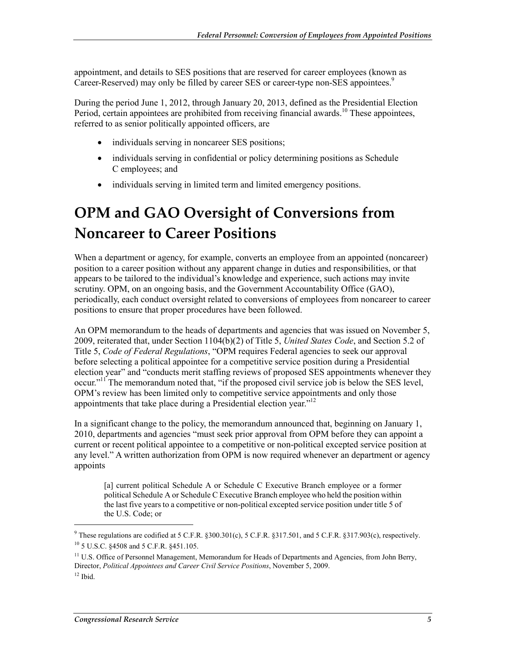appointment, and details to SES positions that are reserved for career employees (known as Career-Reserved) may only be filled by career SES or career-type non-SES appointees.<sup>9</sup>

During the period June 1, 2012, through January 20, 2013, defined as the Presidential Election Period, certain appointees are prohibited from receiving financial awards.<sup>10</sup> These appointees, referred to as senior politically appointed officers, are

- individuals serving in noncareer SES positions;
- individuals serving in confidential or policy determining positions as Schedule C employees; and
- individuals serving in limited term and limited emergency positions.

## **OPM and GAO Oversight of Conversions from Noncareer to Career Positions**

When a department or agency, for example, converts an employee from an appointed (noncareer) position to a career position without any apparent change in duties and responsibilities, or that appears to be tailored to the individual's knowledge and experience, such actions may invite scrutiny. OPM, on an ongoing basis, and the Government Accountability Office (GAO), periodically, each conduct oversight related to conversions of employees from noncareer to career positions to ensure that proper procedures have been followed.

An OPM memorandum to the heads of departments and agencies that was issued on November 5, 2009, reiterated that, under Section 1104(b)(2) of Title 5, *United States Code*, and Section 5.2 of Title 5, *Code of Federal Regulations*, "OPM requires Federal agencies to seek our approval before selecting a political appointee for a competitive service position during a Presidential election year" and "conducts merit staffing reviews of proposed SES appointments whenever they occur."11 The memorandum noted that, "if the proposed civil service job is below the SES level, OPM's review has been limited only to competitive service appointments and only those appointments that take place during a Presidential election year." $^{12}$ 

In a significant change to the policy, the memorandum announced that, beginning on January 1, 2010, departments and agencies "must seek prior approval from OPM before they can appoint a current or recent political appointee to a competitive or non-political excepted service position at any level." A written authorization from OPM is now required whenever an department or agency appoints

[a] current political Schedule A or Schedule C Executive Branch employee or a former political Schedule A or Schedule C Executive Branch employee who held the position within the last five years to a competitive or non-political excepted service position under title 5 of the U.S. Code; or

<sup>&</sup>lt;sup>9</sup> These regulations are codified at 5 C.F.R.  $\S 300.301(c)$ , 5 C.F.R.  $\S 317.501$ , and 5 C.F.R.  $\S 317.903(c)$ , respectively. 10 5 U.S.C. §4508 and 5 C.F.R. §451.105.

<sup>&</sup>lt;sup>11</sup> U.S. Office of Personnel Management, Memorandum for Heads of Departments and Agencies, from John Berry, Director, *Political Appointees and Career Civil Service Positions*, November 5, 2009.

 $12$  Ibid.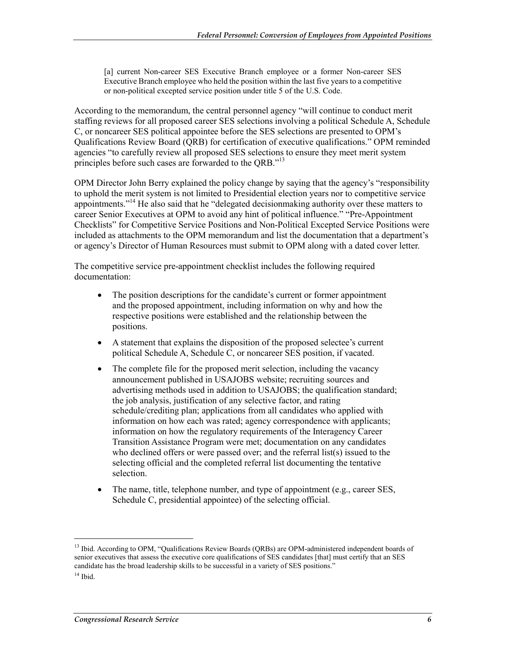[a] current Non-career SES Executive Branch employee or a former Non-career SES Executive Branch employee who held the position within the last five years to a competitive or non-political excepted service position under title 5 of the U.S. Code.

According to the memorandum, the central personnel agency "will continue to conduct merit staffing reviews for all proposed career SES selections involving a political Schedule A, Schedule C, or noncareer SES political appointee before the SES selections are presented to OPM's Qualifications Review Board (QRB) for certification of executive qualifications." OPM reminded agencies "to carefully review all proposed SES selections to ensure they meet merit system principles before such cases are forwarded to the QRB."<sup>13</sup>

OPM Director John Berry explained the policy change by saying that the agency's "responsibility to uphold the merit system is not limited to Presidential election years nor to competitive service appointments."<sup>14</sup> He also said that he "delegated decisionmaking authority over these matters to career Senior Executives at OPM to avoid any hint of political influence." "Pre-Appointment Checklists" for Competitive Service Positions and Non-Political Excepted Service Positions were included as attachments to the OPM memorandum and list the documentation that a department's or agency's Director of Human Resources must submit to OPM along with a dated cover letter.

The competitive service pre-appointment checklist includes the following required documentation:

- The position descriptions for the candidate's current or former appointment and the proposed appointment, including information on why and how the respective positions were established and the relationship between the positions.
- A statement that explains the disposition of the proposed selectee's current political Schedule A, Schedule C, or noncareer SES position, if vacated.
- The complete file for the proposed merit selection, including the vacancy announcement published in USAJOBS website; recruiting sources and advertising methods used in addition to USAJOBS; the qualification standard; the job analysis, justification of any selective factor, and rating schedule/crediting plan; applications from all candidates who applied with information on how each was rated; agency correspondence with applicants; information on how the regulatory requirements of the Interagency Career Transition Assistance Program were met; documentation on any candidates who declined offers or were passed over; and the referral list(s) issued to the selecting official and the completed referral list documenting the tentative selection.
- The name, title, telephone number, and type of appointment (e.g., career SES, Schedule C, presidential appointee) of the selecting official.

<sup>&</sup>lt;sup>13</sup> Ibid. According to OPM, "Qualifications Review Boards (QRBs) are OPM-administered independent boards of senior executives that assess the executive core qualifications of SES candidates [that] must certify that an SES candidate has the broad leadership skills to be successful in a variety of SES positions."

 $14$  Ibid.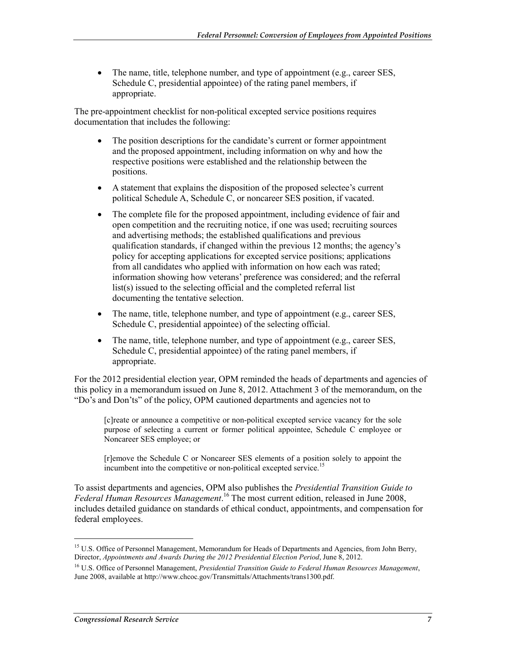• The name, title, telephone number, and type of appointment (e.g., career SES, Schedule C, presidential appointee) of the rating panel members, if appropriate.

The pre-appointment checklist for non-political excepted service positions requires documentation that includes the following:

- The position descriptions for the candidate's current or former appointment and the proposed appointment, including information on why and how the respective positions were established and the relationship between the positions.
- A statement that explains the disposition of the proposed selectee's current political Schedule A, Schedule C, or noncareer SES position, if vacated.
- The complete file for the proposed appointment, including evidence of fair and open competition and the recruiting notice, if one was used; recruiting sources and advertising methods; the established qualifications and previous qualification standards, if changed within the previous 12 months; the agency's policy for accepting applications for excepted service positions; applications from all candidates who applied with information on how each was rated; information showing how veterans' preference was considered; and the referral list(s) issued to the selecting official and the completed referral list documenting the tentative selection.
- The name, title, telephone number, and type of appointment (e.g., career SES, Schedule C, presidential appointee) of the selecting official.
- The name, title, telephone number, and type of appointment (e.g., career SES, Schedule C, presidential appointee) of the rating panel members, if appropriate.

For the 2012 presidential election year, OPM reminded the heads of departments and agencies of this policy in a memorandum issued on June 8, 2012. Attachment 3 of the memorandum, on the "Do's and Don'ts" of the policy, OPM cautioned departments and agencies not to

[c]reate or announce a competitive or non-political excepted service vacancy for the sole purpose of selecting a current or former political appointee, Schedule C employee or Noncareer SES employee; or

[r]emove the Schedule C or Noncareer SES elements of a position solely to appoint the incumbent into the competitive or non-political excepted service.<sup>15</sup>

To assist departments and agencies, OPM also publishes the *Presidential Transition Guide to Federal Human Resources Management*. 16 The most current edition, released in June 2008, includes detailed guidance on standards of ethical conduct, appointments, and compensation for federal employees.

<sup>&</sup>lt;sup>15</sup> U.S. Office of Personnel Management, Memorandum for Heads of Departments and Agencies, from John Berry, Director, *Appointments and Awards During the 2012 Presidential Election Period*, June 8, 2012.

<sup>16</sup> U.S. Office of Personnel Management, *Presidential Transition Guide to Federal Human Resources Management*, June 2008, available at http://www.chcoc.gov/Transmittals/Attachments/trans1300.pdf.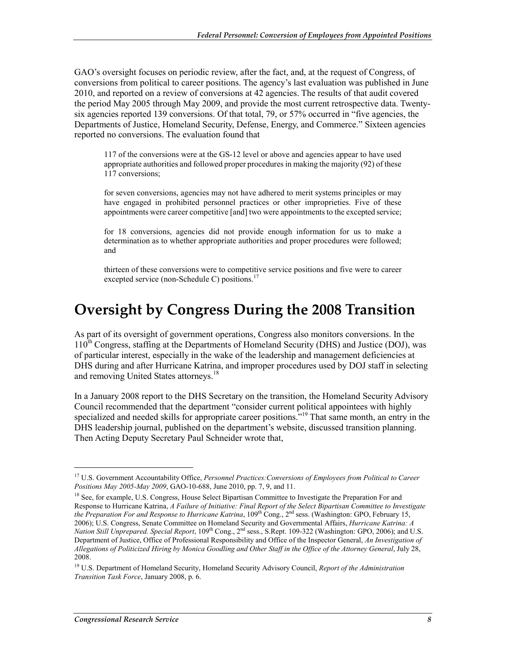GAO's oversight focuses on periodic review, after the fact, and, at the request of Congress, of conversions from political to career positions. The agency's last evaluation was published in June 2010, and reported on a review of conversions at 42 agencies. The results of that audit covered the period May 2005 through May 2009, and provide the most current retrospective data. Twentysix agencies reported 139 conversions. Of that total, 79, or 57% occurred in "five agencies, the Departments of Justice, Homeland Security, Defense, Energy, and Commerce." Sixteen agencies reported no conversions. The evaluation found that

117 of the conversions were at the GS-12 level or above and agencies appear to have used appropriate authorities and followed proper procedures in making the majority (92) of these 117 conversions;

for seven conversions, agencies may not have adhered to merit systems principles or may have engaged in prohibited personnel practices or other improprieties. Five of these appointments were career competitive [and] two were appointments to the excepted service;

for 18 conversions, agencies did not provide enough information for us to make a determination as to whether appropriate authorities and proper procedures were followed; and

thirteen of these conversions were to competitive service positions and five were to career excepted service (non-Schedule C) positions.<sup>17</sup>

#### **Oversight by Congress During the 2008 Transition**

As part of its oversight of government operations, Congress also monitors conversions. In the  $110<sup>th</sup>$  Congress, staffing at the Departments of Homeland Security (DHS) and Justice (DOJ), was of particular interest, especially in the wake of the leadership and management deficiencies at DHS during and after Hurricane Katrina, and improper procedures used by DOJ staff in selecting and removing United States attorneys.<sup>18</sup>

In a January 2008 report to the DHS Secretary on the transition, the Homeland Security Advisory Council recommended that the department "consider current political appointees with highly specialized and needed skills for appropriate career positions.<sup>"19</sup> That same month, an entry in the DHS leadership journal, published on the department's website, discussed transition planning. Then Acting Deputy Secretary Paul Schneider wrote that,

<sup>17</sup> U.S. Government Accountability Office, *Personnel Practices:Conversions of Employees from Political to Career Positions May 2005-May 2009*, GAO-10-688, June 2010, pp. 7, 9, and 11.

<sup>&</sup>lt;sup>18</sup> See, for example, U.S. Congress, House Select Bipartisan Committee to Investigate the Preparation For and Response to Hurricane Katrina, *A Failure of Initiative: Final Report of the Select Bipartisan Committee to Investigate the Preparation For and Response to Hurricane Katrina*, 109th Cong., 2nd sess. (Washington: GPO, February 15, 2006); U.S. Congress, Senate Committee on Homeland Security and Governmental Affairs, *Hurricane Katrina: A Nation Still Unprepared. Special Report*, 109th Cong., 2nd sess., S.Rept. 109-322 (Washington: GPO, 2006); and U.S. Department of Justice, Office of Professional Responsibility and Office of the Inspector General, *An Investigation of Allegations of Politicized Hiring by Monica Goodling and Other Staff in the Office of the Attorney General*, July 28, 2008.

<sup>19</sup> U.S. Department of Homeland Security, Homeland Security Advisory Council, *Report of the Administration Transition Task Force*, January 2008, p. 6.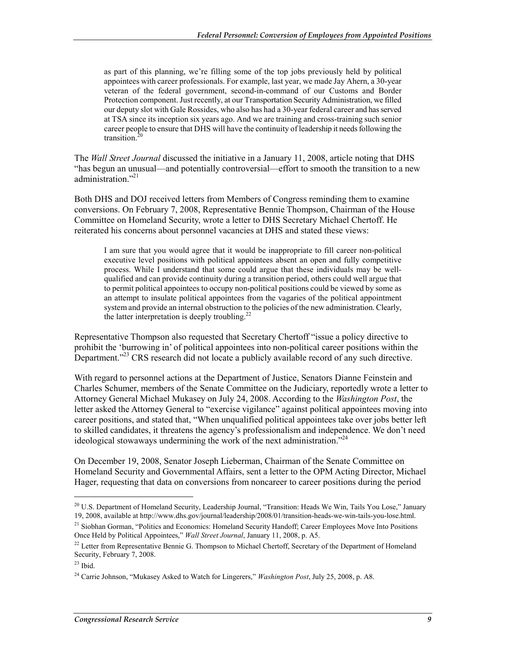as part of this planning, we're filling some of the top jobs previously held by political appointees with career professionals. For example, last year, we made Jay Ahern, a 30-year veteran of the federal government, second-in-command of our Customs and Border Protection component. Just recently, at our Transportation Security Administration, we filled our deputy slot with Gale Rossides, who also has had a 30-year federal career and has served at TSA since its inception six years ago. And we are training and cross-training such senior career people to ensure that DHS will have the continuity of leadership it needs following the transition. $<sup>2</sup>$ </sup>

The *Wall Street Journal* discussed the initiative in a January 11, 2008, article noting that DHS "has begun an unusual—and potentially controversial—effort to smooth the transition to a new administration."<sup>21</sup>

Both DHS and DOJ received letters from Members of Congress reminding them to examine conversions. On February 7, 2008, Representative Bennie Thompson, Chairman of the House Committee on Homeland Security, wrote a letter to DHS Secretary Michael Chertoff. He reiterated his concerns about personnel vacancies at DHS and stated these views:

I am sure that you would agree that it would be inappropriate to fill career non-political executive level positions with political appointees absent an open and fully competitive process. While I understand that some could argue that these individuals may be wellqualified and can provide continuity during a transition period, others could well argue that to permit political appointees to occupy non-political positions could be viewed by some as an attempt to insulate political appointees from the vagaries of the political appointment system and provide an internal obstruction to the policies of the new administration. Clearly, the latter interpretation is deeply troubling.<sup>22</sup>

Representative Thompson also requested that Secretary Chertoff "issue a policy directive to prohibit the 'burrowing in' of political appointees into non-political career positions within the Department."<sup>23</sup> CRS research did not locate a publicly available record of any such directive.

With regard to personnel actions at the Department of Justice, Senators Dianne Feinstein and Charles Schumer, members of the Senate Committee on the Judiciary, reportedly wrote a letter to Attorney General Michael Mukasey on July 24, 2008. According to the *Washington Post*, the letter asked the Attorney General to "exercise vigilance" against political appointees moving into career positions, and stated that, "When unqualified political appointees take over jobs better left to skilled candidates, it threatens the agency's professionalism and independence. We don't need ideological stowaways undermining the work of the next administration."<sup>24</sup>

On December 19, 2008, Senator Joseph Lieberman, Chairman of the Senate Committee on Homeland Security and Governmental Affairs, sent a letter to the OPM Acting Director, Michael Hager, requesting that data on conversions from noncareer to career positions during the period

<sup>&</sup>lt;sup>20</sup> U.S. Department of Homeland Security, Leadership Journal, "Transition: Heads We Win, Tails You Lose," January 19, 2008, available at http://www.dhs.gov/journal/leadership/2008/01/transition-heads-we-win-tails-you-lose.html.

<sup>&</sup>lt;sup>21</sup> Siobhan Gorman, "Politics and Economics: Homeland Security Handoff; Career Employees Move Into Positions Once Held by Political Appointees," *Wall Street Journal*, January 11, 2008, p. A5.

 $^{22}$  Letter from Representative Bennie G. Thompson to Michael Chertoff, Secretary of the Department of Homeland Security, February 7, 2008.

 $23$  Ibid.

<sup>24</sup> Carrie Johnson, "Mukasey Asked to Watch for Lingerers," *Washington Post*, July 25, 2008, p. A8.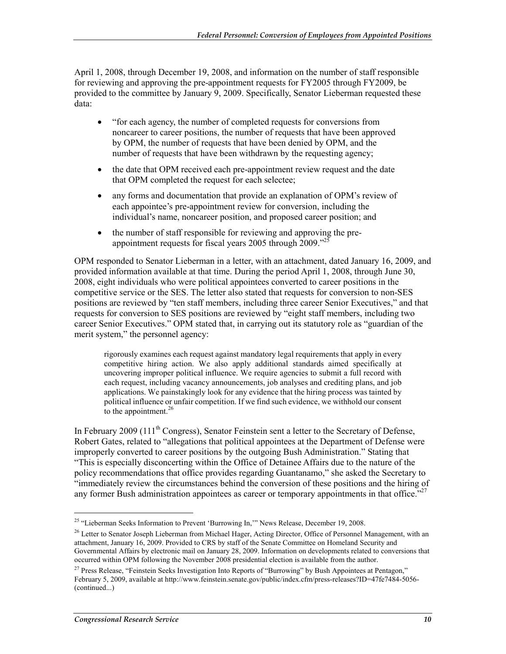April 1, 2008, through December 19, 2008, and information on the number of staff responsible for reviewing and approving the pre-appointment requests for FY2005 through FY2009, be provided to the committee by January 9, 2009. Specifically, Senator Lieberman requested these data:

- "for each agency, the number of completed requests for conversions from noncareer to career positions, the number of requests that have been approved by OPM, the number of requests that have been denied by OPM, and the number of requests that have been withdrawn by the requesting agency;
- the date that OPM received each pre-appointment review request and the date that OPM completed the request for each selectee;
- any forms and documentation that provide an explanation of OPM's review of each appointee's pre-appointment review for conversion, including the individual's name, noncareer position, and proposed career position; and
- the number of staff responsible for reviewing and approving the preappointment requests for fiscal years 2005 through 2009."<sup>25</sup>

OPM responded to Senator Lieberman in a letter, with an attachment, dated January 16, 2009, and provided information available at that time. During the period April 1, 2008, through June 30, 2008, eight individuals who were political appointees converted to career positions in the competitive service or the SES. The letter also stated that requests for conversion to non-SES positions are reviewed by "ten staff members, including three career Senior Executives," and that requests for conversion to SES positions are reviewed by "eight staff members, including two career Senior Executives." OPM stated that, in carrying out its statutory role as "guardian of the merit system," the personnel agency:

rigorously examines each request against mandatory legal requirements that apply in every competitive hiring action. We also apply additional standards aimed specifically at uncovering improper political influence. We require agencies to submit a full record with each request, including vacancy announcements, job analyses and crediting plans, and job applications. We painstakingly look for any evidence that the hiring process was tainted by political influence or unfair competition. If we find such evidence, we withhold our consent to the appointment. $26$ 

In February 2009 (111<sup>th</sup> Congress), Senator Feinstein sent a letter to the Secretary of Defense, Robert Gates, related to "allegations that political appointees at the Department of Defense were improperly converted to career positions by the outgoing Bush Administration." Stating that "This is especially disconcerting within the Office of Detainee Affairs due to the nature of the policy recommendations that office provides regarding Guantanamo," she asked the Secretary to "immediately review the circumstances behind the conversion of these positions and the hiring of any former Bush administration appointees as career or temporary appointments in that office.<sup>"27</sup>

<sup>&</sup>lt;sup>25</sup> "Lieberman Seeks Information to Prevent 'Burrowing In," News Release, December 19, 2008.

<sup>&</sup>lt;sup>26</sup> Letter to Senator Joseph Lieberman from Michael Hager, Acting Director, Office of Personnel Management, with an attachment, January 16, 2009. Provided to CRS by staff of the Senate Committee on Homeland Security and Governmental Affairs by electronic mail on January 28, 2009. Information on developments related to conversions that occurred within OPM following the November 2008 presidential election is available from the author.

<sup>&</sup>lt;sup>27</sup> Press Release, "Feinstein Seeks Investigation Into Reports of "Burrowing" by Bush Appointees at Pentagon," February 5, 2009, available at http://www.feinstein.senate.gov/public/index.cfm/press-releases?ID=47fe7484-5056- (continued...)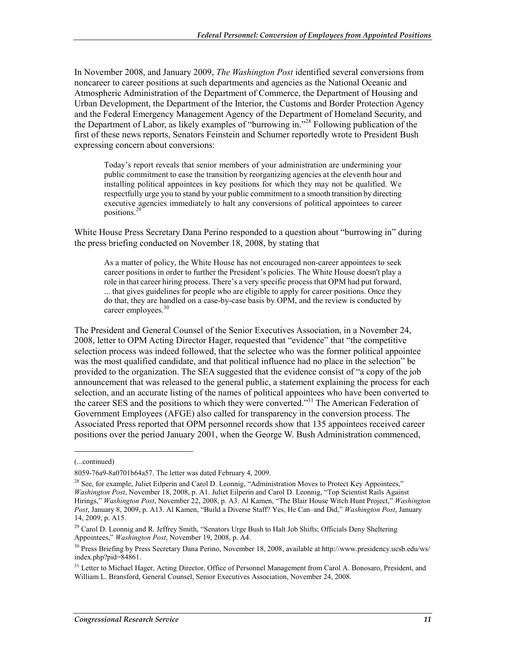In November 2008, and January 2009, *The Washington Post* identified several conversions from noncareer to career positions at such departments and agencies as the National Oceanic and Atmospheric Administration of the Department of Commerce, the Department of Housing and Urban Development, the Department of the Interior, the Customs and Border Protection Agency and the Federal Emergency Management Agency of the Department of Homeland Security, and the Department of Labor, as likely examples of "burrowing in."28 Following publication of the first of these news reports, Senators Feinstein and Schumer reportedly wrote to President Bush expressing concern about conversions:

Today's report reveals that senior members of your administration are undermining your public commitment to ease the transition by reorganizing agencies at the eleventh hour and installing political appointees in key positions for which they may not be qualified. We respectfully urge you to stand by your public commitment to a smooth transition by directing executive agencies immediately to halt any conversions of political appointees to career positions.<sup>29</sup>

White House Press Secretary Dana Perino responded to a question about "burrowing in" during the press briefing conducted on November 18, 2008, by stating that

As a matter of policy, the White House has not encouraged non-career appointees to seek career positions in order to further the President's policies. The White House doesn't play a role in that career hiring process. There's a very specific process that OPM had put forward, ... that gives guidelines for people who are eligible to apply for career positions. Once they do that, they are handled on a case-by-case basis by OPM, and the review is conducted by career employees.<sup>30</sup>

The President and General Counsel of the Senior Executives Association, in a November 24, 2008, letter to OPM Acting Director Hager, requested that "evidence" that "the competitive selection process was indeed followed, that the selectee who was the former political appointee was the most qualified candidate, and that political influence had no place in the selection" be provided to the organization. The SEA suggested that the evidence consist of "a copy of the job announcement that was released to the general public, a statement explaining the process for each selection, and an accurate listing of the names of political appointees who have been converted to the career SES and the positions to which they were converted."<sup>31</sup> The American Federation of Government Employees (AFGE) also called for transparency in the conversion process. The Associated Press reported that OPM personnel records show that 135 appointees received career positions over the period January 2001, when the George W. Bush Administration commenced,

<sup>(...</sup>continued)

<sup>8059-76</sup>a9-8a0701b64a57. The letter was dated February 4, 2009.

 $^{28}$  See, for example, Juliet Eilperin and Carol D. Leonnig, "Administration Moves to Protect Key Appointees," *Washington Post*, November 18, 2008, p. A1. Juliet Eilperin and Carol D. Leonnig, "Top Scientist Rails Against Hirings," *Washington Post*, November 22, 2008, p. A3. Al Kamen, "The Blair House Witch Hunt Project," *Washington Post*, January 8, 2009, p. A13. Al Kamen, "Build a Diverse Staff? Yes, He Can–and Did," *Washington Post*, January 14, 2009, p. A15.

<sup>&</sup>lt;sup>29</sup> Carol D. Leonnig and R. Jeffrey Smith, "Senators Urge Bush to Halt Job Shifts; Officials Deny Sheltering Appointees," *Washington Post*, November 19, 2008, p. A4.

<sup>30</sup> Press Briefing by Press Secretary Dana Perino, November 18, 2008, available at http://www.presidency.ucsb.edu/ws/ index.php?pid=84861.

<sup>&</sup>lt;sup>31</sup> Letter to Michael Hager, Acting Director, Office of Personnel Management from Carol A. Bonosaro, President, and William L. Bransford, General Counsel, Senior Executives Association, November 24, 2008.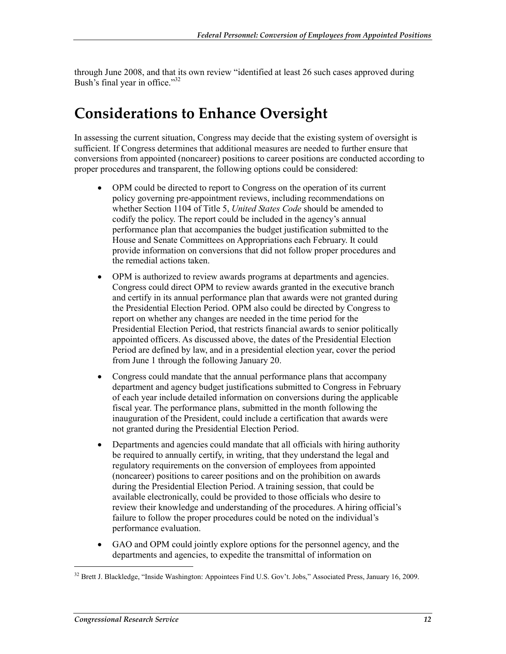through June 2008, and that its own review "identified at least 26 such cases approved during Bush's final year in office."<sup>32</sup>

#### **Considerations to Enhance Oversight**

In assessing the current situation, Congress may decide that the existing system of oversight is sufficient. If Congress determines that additional measures are needed to further ensure that conversions from appointed (noncareer) positions to career positions are conducted according to proper procedures and transparent, the following options could be considered:

- OPM could be directed to report to Congress on the operation of its current policy governing pre-appointment reviews, including recommendations on whether Section 1104 of Title 5, *United States Code* should be amended to codify the policy. The report could be included in the agency's annual performance plan that accompanies the budget justification submitted to the House and Senate Committees on Appropriations each February. It could provide information on conversions that did not follow proper procedures and the remedial actions taken.
- OPM is authorized to review awards programs at departments and agencies. Congress could direct OPM to review awards granted in the executive branch and certify in its annual performance plan that awards were not granted during the Presidential Election Period. OPM also could be directed by Congress to report on whether any changes are needed in the time period for the Presidential Election Period, that restricts financial awards to senior politically appointed officers. As discussed above, the dates of the Presidential Election Period are defined by law, and in a presidential election year, cover the period from June 1 through the following January 20.
- Congress could mandate that the annual performance plans that accompany department and agency budget justifications submitted to Congress in February of each year include detailed information on conversions during the applicable fiscal year. The performance plans, submitted in the month following the inauguration of the President, could include a certification that awards were not granted during the Presidential Election Period.
- Departments and agencies could mandate that all officials with hiring authority be required to annually certify, in writing, that they understand the legal and regulatory requirements on the conversion of employees from appointed (noncareer) positions to career positions and on the prohibition on awards during the Presidential Election Period. A training session, that could be available electronically, could be provided to those officials who desire to review their knowledge and understanding of the procedures. A hiring official's failure to follow the proper procedures could be noted on the individual's performance evaluation.
- GAO and OPM could jointly explore options for the personnel agency, and the departments and agencies, to expedite the transmittal of information on

<sup>&</sup>lt;sup>32</sup> Brett J. Blackledge, "Inside Washington: Appointees Find U.S. Gov't. Jobs," Associated Press, January 16, 2009.